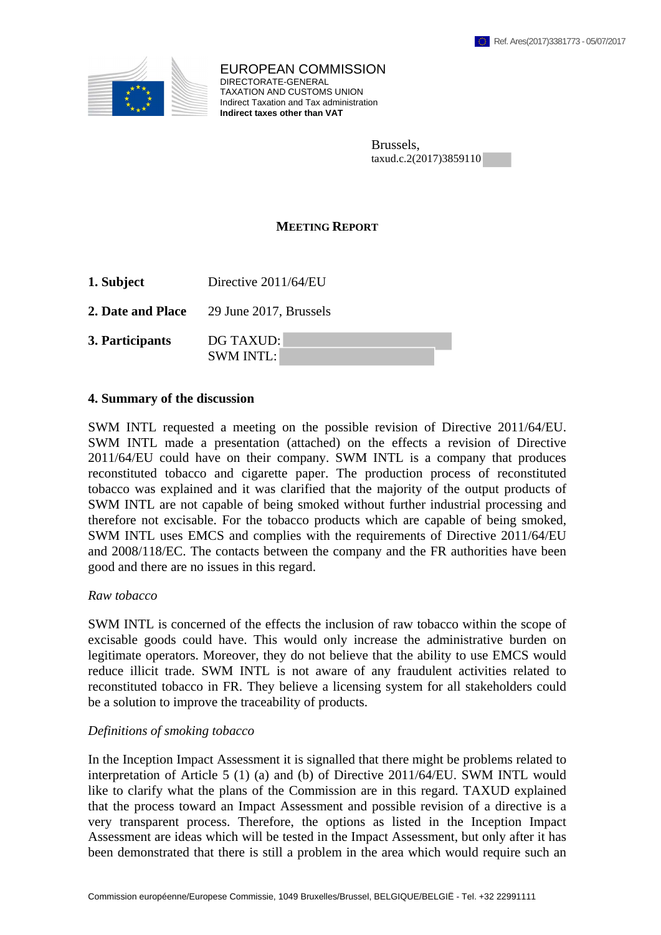

EUROPEAN COMMISSION DIRECTORATE-GENERAL TAXATION AND CUSTOMS UNION Indirect Taxation and Tax administration **Indirect taxes other than VAT**

> Brussels, taxud.c.2(2017)3859110

## **MEETING REPORT**

**1. Subject** Directive 2011/64/EU

**2. Date and Place** 29 June 2017, Brussels

**3. Participants** DG TAXUD: SWM INTL:

## **4. Summary of the discussion**

SWM INTL requested a meeting on the possible revision of Directive 2011/64/EU. SWM INTL made a presentation (attached) on the effects a revision of Directive 2011/64/EU could have on their company. SWM INTL is a company that produces reconstituted tobacco and cigarette paper. The production process of reconstituted tobacco was explained and it was clarified that the majority of the output products of SWM INTL are not capable of being smoked without further industrial processing and therefore not excisable. For the tobacco products which are capable of being smoked, SWM INTL uses EMCS and complies with the requirements of Directive 2011/64/EU and 2008/118/EC. The contacts between the company and the FR authorities have been good and there are no issues in this regard.

## *Raw tobacco*

SWM INTL is concerned of the effects the inclusion of raw tobacco within the scope of excisable goods could have. This would only increase the administrative burden on legitimate operators. Moreover, they do not believe that the ability to use EMCS would reduce illicit trade. SWM INTL is not aware of any fraudulent activities related to reconstituted tobacco in FR. They believe a licensing system for all stakeholders could be a solution to improve the traceability of products.

## *Definitions of smoking tobacco*

In the Inception Impact Assessment it is signalled that there might be problems related to interpretation of Article 5 (1) (a) and (b) of Directive 2011/64/EU. SWM INTL would like to clarify what the plans of the Commission are in this regard. TAXUD explained that the process toward an Impact Assessment and possible revision of a directive is a very transparent process. Therefore, the options as listed in the Inception Impact Assessment are ideas which will be tested in the Impact Assessment, but only after it has been demonstrated that there is still a problem in the area which would require such an